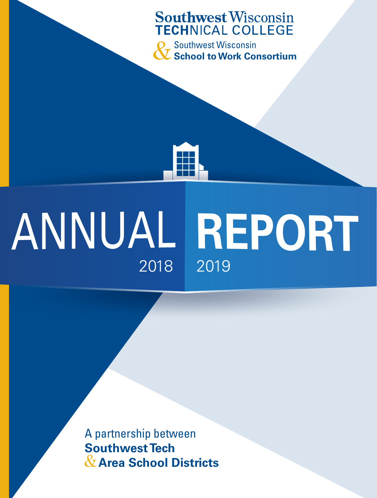### **Southwest Wisconsin TECHNICAL COLLEGE**

**O** Southwest Wisconsin **School to Work Consortium**

# **ANNUAL REPORT** 2018 2019

A partnership between **Southwest Tech**  & **Area School Districts**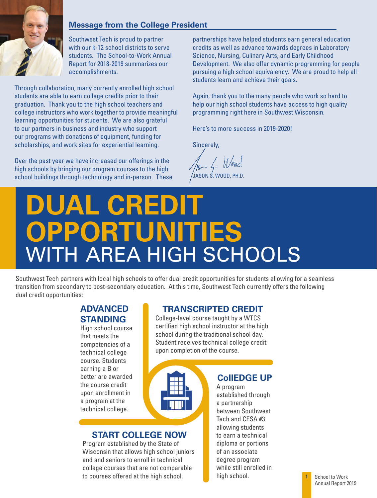

#### **Message from the College President**

Southwest Tech is proud to partner with our k-12 school districts to serve students. The School-to-Work Annual Report for 2018-2019 summarizes our accomplishments.

Through collaboration, many currently enrolled high school students are able to earn college credits prior to their graduation. Thank you to the high school teachers and college instructors who work together to provide meaningful learning opportunities for students. We are also grateful to our partners in business and industry who support our programs with donations of equipment, funding for scholarships, and work sites for experiential learning.

Over the past year we have increased our offerings in the high schools by bringing our program courses to the high school buildings through technology and in-person. These partnerships have helped students earn general education credits as well as advance towards degrees in Laboratory Science, Nursing, Culinary Arts, and Early Childhood Development. We also offer dynamic programming for people pursuing a high school equivalency. We are proud to help all students learn and achieve their goals.

Again, thank you to the many people who work so hard to help our high school students have access to high quality programming right here in Southwest Wisconsin.

Here's to more success in 2019-2020!

Sincerely,

JASON S. WOOD, PH.D.

### **DUAL CREDIT OPPORTUNITIES** WITH AREA HIGH SCHOOLS

Southwest Tech partners with local high schools to offer dual credit opportunities for students allowing for a seamless transition from secondary to post-secondary education. At this time, Southwest Tech currently offers the following dual credit opportunities:

#### **ADVANCED STANDING**

High school course that meets the competencies of a technical college course. Students earning a B or better are awarded the course credit upon enrollment in a program at the technical college.

### **TRANSCRIPTED CREDIT**

College-level course taught by a WTCS certified high school instructor at the high school during the traditional school day. Student receives technical college credit upon completion of the course.



#### **START COLLEGE NOW**

Program established by the State of Wisconsin that allows high school juniors and and seniors to enroll in technical college courses that are not comparable to courses offered at the high school.

**CollEDGE UP**

A program established through a partnership between Southwest Tech and CESA #3 allowing students to earn a technical diploma or portions of an associate degree program while still enrolled in high school.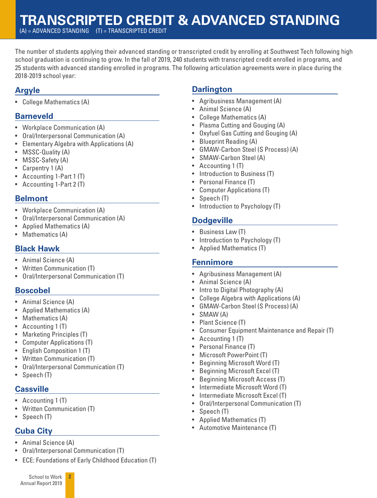### **TRANSCRIPTED CREDIT & ADVANCED STANDING**

(A) = ADVANCED STANDING (T) = TRANSCRIPTED CREDIT

The number of students applying their advanced standing or transcripted credit by enrolling at Southwest Tech following high school graduation is continuing to grow. In the fall of 2019, 240 students with transcripted credit enrolled in programs, and 25 students with advanced standing enrolled in programs. The following articulation agreements were in place during the 2018-2019 school year:

### **Argyle**

• College Mathematics (A)

#### **Barneveld**

- Workplace Communication (A)
- Oral/Interpersonal Communication (A)
- Elementary Algebra with Applications (A)
- MSSC-Quality (A)
- MSSC-Safety (A)
- Carpentry 1 (A)
- Accounting 1-Part 1 (T)
- Accounting 1-Part 2 (T)

#### **Belmont**

- Workplace Communication (A)
- Oral/Interpersonal Communication (A)
- Applied Mathematics (A)
- Mathematics (A)

#### **Black Hawk**

- Animal Science (A)
- Written Communication (T)
- Oral/Interpersonal Communication (T)

#### **Boscobel**

- Animal Science (A)
- Applied Mathematics (A)
- Mathematics (A)
- Accounting 1 (T)
- Marketing Principles (T)
- Computer Applications (T)
- English Composition 1 (T)
- Written Communication (T)
- Oral/Interpersonal Communication (T)
- Speech (T)

#### **Cassville**

- Accounting 1 (T)
- Written Communication (T)
- Speech (T)

### **Cuba City**

- Animal Science (A)
- Oral/Interpersonal Communication (T)

**2**

• ECE: Foundations of Early Childhood Education (T)

#### **Darlington**

- Agribusiness Management (A)
- Animal Science (A)
- College Mathematics (A)
- Plasma Cutting and Gouging (A)
- Oxyfuel Gas Cutting and Gouging (A)
- Blueprint Reading (A)
- GMAW-Carbon Steel (S Process) (A)
- SMAW-Carbon Steel (A)
- Accounting 1 (T)
- Introduction to Business (T)
- Personal Finance (T)
- Computer Applications (T)
- Speech (T)
- Introduction to Psychology (T)

#### **Dodgeville**

- Business Law (T)
- Introduction to Psychology (T)
- Applied Mathematics (T)

#### **Fennimore**

- Agribusiness Management (A)
- Animal Science (A)
- Intro to Digital Photography (A)
- College Algebra with Applications (A)
- GMAW-Carbon Steel (S Process) (A)
- SMAW (A)
- Plant Science (T)
- Consumer Equipment Maintenance and Repair (T)
- Accounting 1 (T)
- Personal Finance (T)
- Microsoft PowerPoint (T)
- Beginning Microsoft Word (T)
- Beginning Microsoft Excel (T)
- Beginning Microsoft Access (T)
- Intermediate Microsoft Word (T)
- Intermediate Microsoft Excel (T)
- Oral/Interpersonal Communication (T)
- Speech (T)
- Applied Mathematics (T)
- Automotive Maintenance (T)

School to Work Annual Report 2019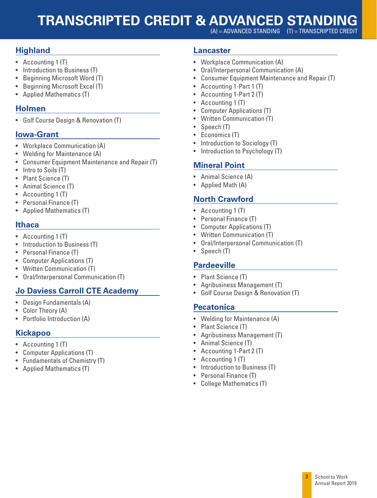### **TRANSCRIPTED CREDIT & ADVANCED STANDING**

 $(A)$  = ADVANCED STANDING  $(I)$  = TRANSCRIPTED CREDIT

#### **Highland**

- Accounting 1 (T)
- Introduction to Business (T)
- Beginning Microsoft Word (T)
- Beginning Microsoft Excel (T)
- Applied Mathematics (T)

#### **Holmen**

• Golf Course Design & Renovation (T)

#### **Iowa-Grant**

- Workplace Communication (A)
- Welding for Maintenance (A)
- Consumer Equipment Maintenance and Repair (T)
- Intro to Soils (T)
- Plant Science (T)
- Animal Science (T)
- Accounting 1 (T)
- Personal Finance (T)
- Applied Mathematics (T)

#### **Ithaca**

- Accounting 1 (T)
- Introduction to Business (T)
- Personal Finance (T)
- Computer Applications (T)
- Written Communication (T)
- Oral/Interpersonal Communication (T)

#### **Jo Daviess Carroll CTE Academy**

- Design Fundamentals (A)
- Color Theory (A)
- Portfolio Introduction (A)

#### **Kickapoo**

- Accounting 1 (T)
- Computer Applications (T)
- Fundamentals of Chemistry (T)
- Applied Mathematics (T)

#### **Lancaster**

- Workplace Communication (A)
- Oral/Interpersonal Communication (A)
- Consumer Equipment Maintenance and Repair (T)
- Accounting 1-Part 1 (T)
- Accounting 1-Part 2 (T)
- Accounting 1 (T)
- Computer Applications (T)
- Written Communication (T)
- Speech (T)
- Economics (T)
- Introduction to Sociology (T)
- Introduction to Psychology (T)

#### **Mineral Point**

- Animal Science (A)
- Applied Math (A)

#### **North Crawford**

- Accounting 1 (T)
- Personal Finance (T)
- Computer Applications (T)
- Written Communication (T)
- Oral/Interpersonal Communication (T)
- Speech (T)

#### **Pardeeville**

- Plant Science (T)
- Agribusiness Management (T)
- Golf Course Design & Renovation (T)

#### **Pecatonica**

- Welding for Maintenance (A)
- Plant Science (T)
- Agribusiness Management (T)
- Animal Science (T)
- Accounting 1-Part 2 (T)
- Accounting 1 (T)
- Introduction to Business (T)
- Personal Finance (T)
- College Mathematics (T)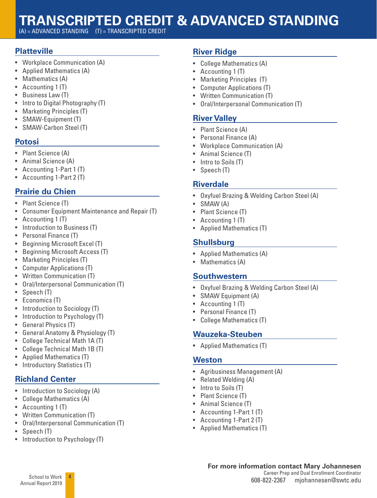### **TRANSCRIPTED CREDIT & ADVANCED STANDING**

(A) = ADVANCED STANDING (T) = TRANSCRIPTED CREDIT

#### **Platteville**

- Workplace Communication (A)
- Applied Mathematics (A)
- Mathematics (A)
- Accounting 1 (T)
- Business Law (T)
- Intro to Digital Photography (T)
- Marketing Principles (T)
- SMAW-Equipment (T)
- SMAW-Carbon Steel (T)

#### **Potosi**

- Plant Science (A)
- Animal Science (A)
- Accounting 1-Part 1 (T)
- Accounting 1-Part 2 (T)

### **Prairie du Chien**

- Plant Science (T)
- Consumer Equipment Maintenance and Repair (T)
- Accounting 1 (T)
- Introduction to Business (T)
- Personal Finance (T)
- Beginning Microsoft Excel (T)
- Beginning Microsoft Access (T)
- Marketing Principles (T)
- Computer Applications (T)
- Written Communication (T)
- Oral/Interpersonal Communication (T)
- Speech (T)
- Economics (T)
- Introduction to Sociology (T)
- Introduction to Psychology (T)
- General Physics (T)
- General Anatomy & Physiology (T)
- College Technical Math 1A (T)
- College Technical Math 1B (T)
- Applied Mathematics (T)
- Introductory Statistics (T)

#### **Richland Center**

- Introduction to Sociology (A)
- College Mathematics (A)
- Accounting 1 (T)
- Written Communication (T)
- Oral/Interpersonal Communication (T)

**4**

- Speech (T)
- Introduction to Psychology (T)

#### **River Ridge**

- College Mathematics (A)
- Accounting 1 (T)
- Marketing Principles (T)
- Computer Applications (T)
- Written Communication (T)
- Oral/Interpersonal Communication (T)

#### **River Valley**

- Plant Science (A)
- Personal Finance (A)
- Workplace Communication (A)
- Animal Science (T)
- Intro to Soils (T)
- Speech (T)

#### **Riverdale**

- Oxyfuel Brazing & Welding Carbon Steel (A)
- SMAW (A)
- Plant Science (T)
- Accounting 1 (T)
- Applied Mathematics (T)

#### **Shullsburg**

- Applied Mathematics (A)
- Mathematics (A)

#### **Southwestern**

- Oxyfuel Brazing & Welding Carbon Steel (A)
- SMAW Equipment (A)
- Accounting 1 (T)
- Personal Finance (T)
- College Mathematics (T)

#### **Wauzeka-Steuben**

• Applied Mathematics (T)

#### **Weston**

- Agribusiness Management (A)
- Related Welding (A)
- Intro to Soils (T)
- Plant Science (T)
- Animal Science (T)
- Accounting 1-Part 1 (T)
- Accounting 1-Part 2 (T)
- Applied Mathematics (T)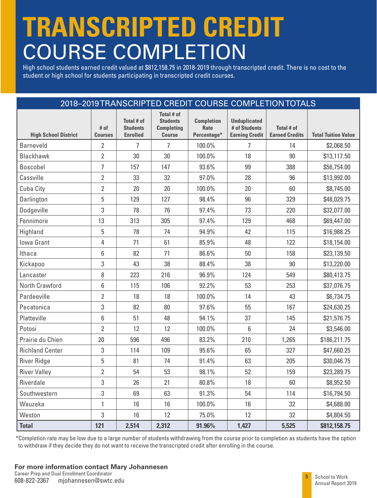## **TRANSCRIPTED CREDIT** COURSE COMPLETION

High school students earned credit valued at \$812,158.75 in 2018-2019 through transcripted credit. There is no cost to the student or high school for students participating in transcripted credit courses.

|                             |                        |                                                         |                                                                     |                                          |                                                               | 2018-2019 TRANSCRIPTED CREDIT COURSE COMPLETION TOTALS |                            |
|-----------------------------|------------------------|---------------------------------------------------------|---------------------------------------------------------------------|------------------------------------------|---------------------------------------------------------------|--------------------------------------------------------|----------------------------|
| <b>High School District</b> | # of<br><b>Courses</b> | <b>Total # of</b><br><b>Students</b><br><b>Enrolled</b> | Total # of<br><b>Students</b><br><b>Completing</b><br><b>Course</b> | <b>Completion</b><br>Rate<br>Percentage* | <b>Unduplicated</b><br># of Students<br><b>Earning Credit</b> | Total # of<br><b>Earned Credits</b>                    | <b>Total Tuition Value</b> |
| <b>Barneveld</b>            | $\overline{2}$         | 7                                                       | $\overline{7}$                                                      | 100.0%                                   | $\overline{7}$                                                | 14                                                     | \$2,068.50                 |
| <b>Blackhawk</b>            | $\overline{2}$         | 30                                                      | 30                                                                  | 100.0%                                   | 18                                                            | 90                                                     | \$13,117.50                |
| <b>Boscobel</b>             | $\overline{7}$         | 157                                                     | 147                                                                 | 93.6%                                    | 99                                                            | 388                                                    | \$56,754.00                |
| Cassville                   | $\overline{2}$         | 33                                                      | 32                                                                  | 97.0%                                    | 28                                                            | 96                                                     | \$13,992.00                |
| Cuba City                   | $\overline{2}$         | 20                                                      | 20                                                                  | 100.0%                                   | 20                                                            | 60                                                     | \$8,745.00                 |
| Darlington                  | 5                      | 129                                                     | 127                                                                 | 98.4%                                    | 96                                                            | 329                                                    | \$48,029.75                |
| Dodgeville                  | 3                      | 78                                                      | 76                                                                  | 97.4%                                    | 73                                                            | 220                                                    | \$32,077.00                |
| Fennimore                   | 13                     | 313                                                     | 305                                                                 | 97.4%                                    | 129                                                           | 468                                                    | \$69,447.00                |
| Highland                    | 5                      | 78                                                      | 74                                                                  | 94.9%                                    | 42                                                            | 115                                                    | \$16,988.25                |
| Iowa Grant                  | 4                      | 71                                                      | 61                                                                  | 85.9%                                    | 48                                                            | 122                                                    | \$18,154.00                |
| Ithaca                      | 6                      | 82                                                      | 71                                                                  | 86.6%                                    | 50                                                            | 158                                                    | \$23,139.50                |
| Kickapoo                    | 3                      | 43                                                      | 38                                                                  | 88.4%                                    | 38                                                            | 90                                                     | \$13,220.00                |
| Lancaster                   | 8                      | 223                                                     | 216                                                                 | 96.9%                                    | 124                                                           | 549                                                    | \$80,413.75                |
| North Crawford              | $6\,$                  | 115                                                     | 106                                                                 | 92.2%                                    | 53                                                            | 253                                                    | \$37,076.75                |
| Pardeeville                 | $\overline{2}$         | 18                                                      | 18                                                                  | 100.0%                                   | 14                                                            | 43                                                     | \$6,734.75                 |
| Pecatonica                  | 3                      | 82                                                      | 80                                                                  | 97.6%                                    | 55                                                            | 167                                                    | \$24,630.25                |
| Platteville                 | $6\phantom{1}$         | 51                                                      | 48                                                                  | 94.1%                                    | 37                                                            | 145                                                    | \$21,576.75                |
| Potosi                      | $\overline{2}$         | 12                                                      | 12                                                                  | 100.0%                                   | 6                                                             | 24                                                     | \$3,546.00                 |
| Prairie du Chien            | 20                     | 596                                                     | 496                                                                 | 83.2%                                    | 210                                                           | 1,265                                                  | \$186,211.75               |
| <b>Richland Center</b>      | 3                      | 114                                                     | 109                                                                 | 95.6%                                    | 65                                                            | 327                                                    | \$47,660.25                |
| <b>River Ridge</b>          | 5                      | 81                                                      | 74                                                                  | 91.4%                                    | 63                                                            | 205                                                    | \$30,046.75                |
| <b>River Valley</b>         | $\overline{2}$         | 54                                                      | 53                                                                  | 98.1%                                    | 52                                                            | 159                                                    | \$23,289.75                |
| Riverdale                   | 3                      | 26                                                      | 21                                                                  | 80.8%                                    | 18                                                            | 60                                                     | \$8,952.50                 |
| Southwestern                | 3                      | 69                                                      | 63                                                                  | 91.3%                                    | 54                                                            | 114                                                    | \$16,794.50                |
| Wauzeka                     | $\mathbf{1}$           | 16                                                      | 16                                                                  | 100.0%                                   | 16                                                            | 32                                                     | \$4,688.00                 |
| Weston                      | 3                      | 16                                                      | 12                                                                  | 75.0%                                    | 12                                                            | 32                                                     | \$4,804.50                 |
| <b>Total</b>                | 121                    | 2,514                                                   | 2,312                                                               | 91.96%                                   | 1,427                                                         | 5,525                                                  | \$812,158.75               |

\*Completion rate may be low due to a large number of students withdrawing from the course prior to completion as students have the option to withdraw if they decide they do not want to receive the transcripted credit after enrolling in the course.

#### **For more information contact Mary Johannesen**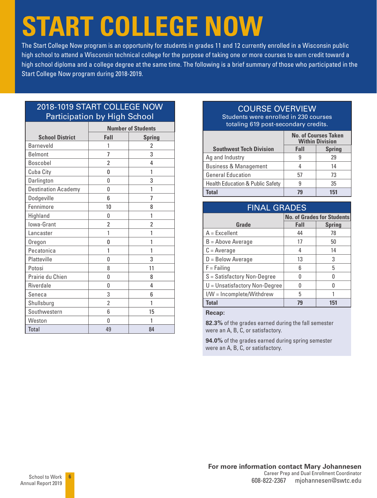## **START COLLEGE NOW**

The Start College Now program is an opportunity for students in grades 11 and 12 currently enrolled in a Wisconsin public high school to attend a Wisconsin technical college for the purpose of taking one or more courses to earn credit toward a high school diploma and a college degree at the same time. The following is a brief summary of those who participated in the Start College Now program during 2018-2019.

#### 2018-1019 START COLLEGE NOW Participation by High School

|                            |                          | <b>Number of Students</b> |
|----------------------------|--------------------------|---------------------------|
| <b>School District</b>     | Fall                     | <b>Spring</b>             |
| <b>Barneveld</b>           | 1                        | 2                         |
| <b>Belmont</b>             | 7                        | 3                         |
| Boscobel                   | 2                        | 4                         |
| Cuba City                  | 0                        | 1                         |
| Darlington                 | 0                        | 3                         |
| <b>Destination Academy</b> | 0                        | 1                         |
| Dodgeville                 | 6                        | 7                         |
| Fennimore                  | 10                       | 8                         |
| Highland                   | 0                        | 1                         |
| Iowa-Grant                 | 2                        | 2                         |
| Lancaster                  | 1                        | 1                         |
| Oregon                     | 0                        | 1                         |
| Pecatonica                 | 1                        | 1                         |
| Platteville                | 0                        | 3                         |
| Potosi                     | 8                        | 11                        |
| Prairie du Chien           | 0                        | 8                         |
| Riverdale                  | 0                        | 4                         |
| Seneca                     | 3                        | 6                         |
| Shullsburg                 | $\overline{\phantom{a}}$ | 1                         |
| Southwestern               | 6                        | 15                        |
| Weston                     | 0                        | 1                         |
| <b>Total</b>               | 49                       | 84                        |

### COURSE OVERVIEW

Students were enrolled in 230 courses totaling 619 post-secondary credits.

|                                             |      | <b>No. of Courses Taken</b><br><b>Within Division</b> |
|---------------------------------------------|------|-------------------------------------------------------|
| <b>Southwest Tech Division</b>              | Fall | <b>Spring</b>                                         |
| Ag and Industry                             |      | 29                                                    |
| <b>Business &amp; Management</b>            |      | 14                                                    |
| <b>General Education</b>                    | 57   | 73                                                    |
| <b>Health Education &amp; Public Safety</b> |      | 35                                                    |
| ็กtal                                       | 79   | 151                                                   |

| <b>FINAL GRADES</b>            |      |                                   |
|--------------------------------|------|-----------------------------------|
|                                |      | <b>No. of Grades for Students</b> |
| Grade                          | Fall | <b>Spring</b>                     |
| $A = Excellent$                | 44   | 78                                |
| $B =$ Above Average            | 17   | 50                                |
| $C = Average$                  | 4    | 14                                |
| $D =$ Below Average            | 13   | 3                                 |
| $F = F \sin n \alpha$          | 6    | 5                                 |
| $S = S$ atisfactory Non-Degree | U    | N                                 |
| U = Unsatisfactory Non-Degree  | N    |                                   |
| I/W = Incomplete/Withdrew      | 5    |                                   |
| <b>Total</b>                   | 79   | 151                               |

**Recap:**

**82.3%** of the grades earned during the fall semester were an A, B, C, or satisfactory.

**94.0%** of the grades earned during spring semester were an A, B, C, or satisfactory.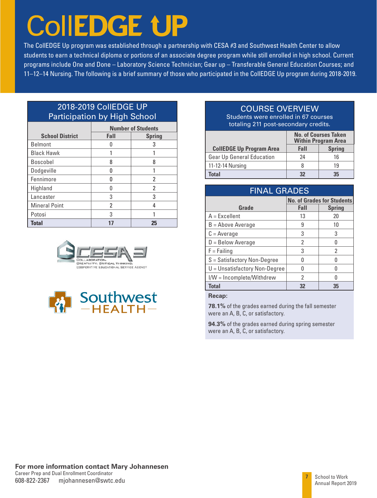# **CollEDGE UP**

The CollEDGE Up program was established through a partnership with CESA #3 and Southwest Health Center to allow students to earn a technical diploma or portions of an associate degree program while still enrolled in high school. Current programs include One and Done – Laboratory Science Technician; Gear up – Transferable General Education Courses; and 11–12–14 Nursing. The following is a brief summary of those who participated in the CollEDGE Up program during 2018-2019.

#### 2018-2019 CollEDGE UP Participation by High School

|                        | <b>Number of Students</b> |        |  |
|------------------------|---------------------------|--------|--|
| <b>School District</b> | Fall                      | Spring |  |
| <b>Belmont</b>         |                           | 3      |  |
| <b>Black Hawk</b>      |                           |        |  |
| <b>Boscobel</b>        | 8                         | 8      |  |
| Dodgeville             | n                         |        |  |
| Fennimore              |                           | 2      |  |
| Highland               |                           | 2      |  |
| Lancaster              | 3                         | 3      |  |
| <b>Mineral Point</b>   | 2                         |        |  |
| Potosi                 | 3                         |        |  |
| <b>Total</b>           |                           | 25     |  |





#### COURSE OVERVIEW

Students were enrolled in 67 courses totaling 211 post-secondary credits.

|                                 |      | <b>No. of Courses Taken</b><br><b>Within Program Area</b> |
|---------------------------------|------|-----------------------------------------------------------|
| <b>CollEDGE Up Program Area</b> | Fall | <b>Spring</b>                                             |
| Gear Up General Education       | 24   | 16                                                        |
| 11-12-14 Nursing                |      | 19                                                        |
| Total                           |      | 35                                                        |

#### FINAL GRADES

|                                 |      | <b>No. of Grades for Students</b> |
|---------------------------------|------|-----------------------------------|
| Grade                           | Fall | <b>Spring</b>                     |
| $A = Excellent$                 | 13   | 20                                |
| $B =$ Above Average             | 9    | 10                                |
| $C = Average$                   | 3    | 3                                 |
| $D =$ Below Average             | 2    |                                   |
| $F = F \sin \theta$             | 3    | 2                                 |
| $S =$ Satisfactory Non-Degree   |      |                                   |
| $U =$ Unsatisfactory Non-Degree |      |                                   |
| I/W = Incomplete/Withdrew       | 2    |                                   |
| Total                           | 32   | 35                                |

#### **Recap:**

**78.1%** of the grades earned during the fall semester were an A, B, C, or satisfactory.

**94.3%** of the grades earned during spring semester were an A, B, C, or satisfactory.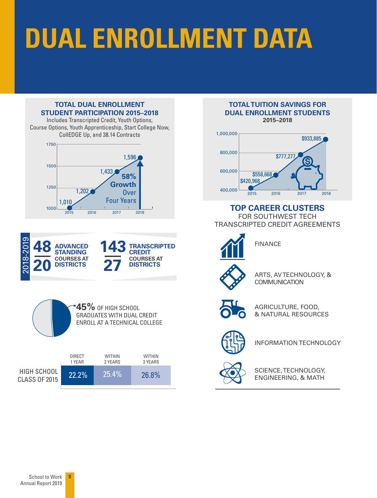# **DUAL ENROLLMENT DATA**

#### **TOTAL DUAL ENROLLMENT STUDENT PARTICIPATION 2015–2018**

Includes Transcripted Credit, Youth Options, Course Options, Youth Apprenticeship, Start College Now, CollEDGE Up, and 38.14 Contracts









#### **TOTAL TUITION SAVINGS FOR DUAL ENROLLMENT STUDENTS 2015–2018**



#### **TOP CAREER CLUSTERS**

FOR SOUTHWEST TECH TRANSCRIPTED CREDIT AGREEMENTS



FINANCE



ARTS, AV TECHNOLOGY, & **COMMUNICATION** 



AGRICULTURE, FOOD, & NATURAL RESOURCES



INFORMATION TECHNOLOGY



SCIENCE, TECHNOLOGY, ENGINEERING, & MATH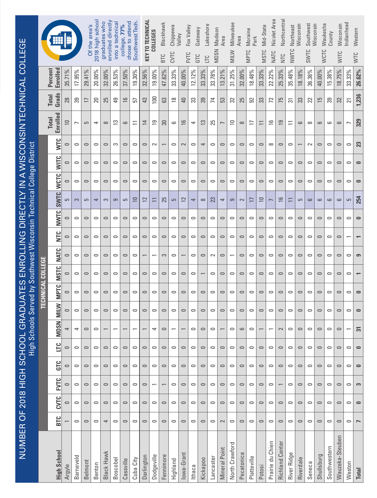| NUMBER OF 2018 HIGH SCHOOL GR |                                                      |           |                          |                                                                |           | <b>High Schools</b>      |                      | <b>ADUATES</b> |                          |                          |                                                      | ENROLLING DIRECTLY IN A WISCONSINTECHNICAL COLLEGE<br>Served by Southwest Wisconsin Technical College District |                          |                            |            |                          |   |                       |                     |                 |                                    |
|-------------------------------|------------------------------------------------------|-----------|--------------------------|----------------------------------------------------------------|-----------|--------------------------|----------------------|----------------|--------------------------|--------------------------|------------------------------------------------------|----------------------------------------------------------------------------------------------------------------|--------------------------|----------------------------|------------|--------------------------|---|-----------------------|---------------------|-----------------|------------------------------------|
|                               |                                                      |           |                          |                                                                |           |                          |                      |                | <b>TECHNICAL COLLEGE</b> |                          |                                                      |                                                                                                                |                          |                            |            |                          |   |                       |                     |                 |                                    |
| <b>High School</b>            | <b>BTC</b>                                           | CVTC      | <b>EVTC</b>              | GTC                                                            | ЦC        | <b>MDSN</b>              | <b>MILW</b>          | <b>MPTC</b>    | <b>NSTC</b>              | <b>NATC</b>              | <b>NTC</b>                                           | NWTC                                                                                                           | <b>SWTC</b>              | <b>WITC</b><br><b>WCTC</b> | <b>NTC</b> | Enrolled<br><b>Total</b> |   | Grads<br><b>Total</b> | Enrolled<br>Percent |                 | H                                  |
| Argyle                        |                                                      | $\circ$   | $\cup$                   | $\circ$                                                        | $\circ$   | 4                        | $\circ$              | $\circ$        | $\circ$                  | $\circ$                  | $\cup$                                               | $\circ$                                                                                                        | 5                        | $\circ$<br>$\circ$         | $\circ$    | $\supseteq$              |   | 28                    | 35.71%              |                 |                                    |
| <b>Barneveld</b>              | $\circ$                                              | $\circ$   | $\circ$                  | $\circ$                                                        | $\circ$   | 4                        | $\circ$              | $\circ$        | $\circ$                  | $\circ$                  | $\circ$                                              | $\circ$                                                                                                        | S                        | $\circ$<br>$\circ$         | $\circ$    |                          |   | 39                    | 17.95%              |                 |                                    |
| <b>Belmont</b>                | $\circ$                                              | $\circ$   | $\cup$                   | $\circ$                                                        | $\circ$   | $\circ$                  | $\circ$              | $\circ$        | $\circ$                  | $\circ$                  | $\circ$                                              | $\circ$                                                                                                        | G                        | $\circ$<br>$\circ$         | $\circ$    | G                        |   | $\overline{1}$        | 29.41%              |                 | Of the area's                      |
| Benton                        | $\circ$                                              | $\circ$   | $\circ$                  | $\circ$                                                        | $\circ$   | $\circ$                  | $\circ$              | $\circ$        | $\circ$                  | $\circ$                  | $\circ$                                              | $\circ$                                                                                                        | 4                        | $\circ$<br>$\circ$         | $\circ$    | 4                        |   | 20                    | 20.00%              |                 | 2018 high schoo                    |
| Black Hawk                    | 4                                                    | $\circ$   | $\circ$                  | $\cup$                                                         | $\circ$   |                          | $\circ$              | $\circ$        | $\circ$                  | $\circ$                  | $\circ$                                              | $\circ$                                                                                                        | က                        | $\circ$<br>$\circ$         | $\circ$    | $\infty$                 |   | 25                    | 32.00%              |                 | enrolled directly<br>graduates who |
| Boscobel                      | $\circ$                                              | $\circ$   | $\circ$                  | $\circ$                                                        | $\circ$   |                          | $\circ$              | $\circ$        | $\circ$                  | $\circ$                  | $\circ$                                              | $\circ$                                                                                                        | ၜ                        | $\circ$<br>$\circ$         | S          |                          | က | 49                    | 26.53%              | into a technica |                                    |
| Cassville                     | $\circ$                                              | $\circ$   | $\circ$                  | $\circ$                                                        | $\circ$   |                          | $\circ$              | $\circ$        | $\circ$                  | $\circ$                  | $\circ$                                              | $\circ$                                                                                                        | 5                        | $\circ$<br>$\circ$         | $\circ$    | 9                        |   | $\frac{6}{2}$         | 37.50%              |                 | chose to attend<br>college, 77%    |
| Cuba City                     | $\circ$                                              | $\circ$   | $\circ$                  | $\circ$                                                        | $\circ$   | $\overline{\phantom{0}}$ | $\circ$              | $\circ$        | $\circ$                  | $\circ$                  | $\circ$                                              | $\circ$                                                                                                        | $\overline{10}$          | $\circ$<br>$\circ$         | $\circ$    |                          |   | 57                    | 19.30%              |                 | Southwest Tech                     |
| Darlington                    | $\circ$                                              | $\circ$   | $\cup$                   | $\circ$                                                        | $\circ$   | $\overline{\phantom{0}}$ | $\circ$              | $\circ$        | $\circ$                  |                          | $\circ$                                              | $\circ$                                                                                                        | 12                       | $\circ$<br>$\circ$         | $\circ$    | $\overline{1}$           |   | 43                    | 32.56%              |                 | <b>KEY TO TECHNICAL</b>            |
| Dodgeville                    | $\circ$                                              | $\circ$   | $\overline{\phantom{0}}$ | $\circ$                                                        | $\circ$   | 4                        | $\circ$              | $\circ$        | $\circ$                  | $\overline{\phantom{0}}$ | $\circ$                                              | $\circ$                                                                                                        | $\overline{\phantom{0}}$ | $\circ$<br>$\circ$         | $\sim$     |                          | တ | $\approx$             | 19.00%              |                 | COLLEGES                           |
| Fennimore                     | $\circ$                                              | $\circ$   |                          | $\circ$                                                        | $\circ$   | $\circ$                  | $\circ$              | $\circ$        | $\circ$                  | S                        | $\circ$                                              | $\circ$                                                                                                        | 25                       | $\circ$<br>$\circ$         |            | 30                       |   | 63                    | 47.62%              | <b>BTC</b>      | Blackhawk                          |
| Highland                      | $\circ$                                              | $\circ$   | $\circ$                  | $\circ$                                                        | $\circ$   |                          | $\circ$              | $\circ$        | $\circ$                  | $\circ$                  | $\circ$                                              | $\circ$                                                                                                        | 5                        | $\circ$<br>$\circ$         | $\circ$    | ڡ                        |   | $\frac{8}{10}$        | 33.33%              | CVTC            | Chippewa                           |
| lowa-Grant                    | $\circ$                                              | $\circ$   | $\circ$                  | $\hskip10mm\hskip10mm\hskip10mm\hskip10mm\hskip10mm\hskip10mm$ | $\circ$   |                          | $\cup$               | $\circ$        | $\circ$                  |                          | $\circ$                                              | $\circ$                                                                                                        | $\sim$                   | $\circ$<br>$\circ$         | $\sim$     |                          | 9 | 40                    | 40.00%              |                 | Valley                             |
| Ithaca                        | $\circ$                                              | $\circ$   | $\circ$                  | $\circ$                                                        | $\circ$   | $\circ$                  | $\circ$              | $\circ$        | $\circ$                  | $\circ$                  | $\circ$                                              | $\circ$                                                                                                        | 4                        | $\circ$<br>$\circ$         | $\circ$    | 4                        |   | 33                    | 12.12%              | FVTC<br>GTC     | Fox Valley<br>Gateway              |
| Kickapoo                      | $\hskip10pt\hskip10pt\hskip10pt\hskip10pt\hskip10pt$ | $\circ$   | $\cup$                   | $\qquad \qquad \Box$                                           | $\circ$   | $\circ$                  | $\qquad \qquad \Box$ | $\circ$        | $\overline{\phantom{0}}$ | $\qquad \qquad \Box$     | $\hskip10pt\hskip10pt\hskip10pt\hskip10pt\hskip10pt$ | $\circ$                                                                                                        | $\infty$                 | $\circ$<br>$\circ$         | 4          |                          | 3 | 39                    | 33.33%              | ЦC              | Lakeshore                          |
| Lancaster                     | $\circ$                                              | $\circ$   | $\circ$                  | $\circ$                                                        | $\circ$   | $\circ$                  | $\circ$              | $\circ$        | $\circ$                  | $\sim$                   | $\circ$                                              | $\circ$                                                                                                        | 23                       | $\circ$<br>$\circ$         | $\circ$    | 25                       |   | 74                    | 33.78%              | <b>MDSN</b>     | Madison                            |
| <b>Mineral Point</b>          | $\sim$                                               | $\circ$   | $\cup$                   | $\circ$                                                        | $\circ$   |                          | $\circ$              | $\circ$        | $\circ$                  | $\circ$                  | $\circ$                                              | $\circ$                                                                                                        | 4                        | $\circ$<br>$\circ$         | $\circ$    | $\overline{ }$           |   | 53                    | $\%$<br>13.21       |                 | Area                               |
| North Crawford                | $\circ$                                              | $\circ$   | $\circ$                  | $\circ$                                                        | $\circ$   | $\circ$                  | $\circ$              | $\circ$        | $\circ$                  | $\overline{\phantom{0}}$ | $\circ$                                              | $\circ$                                                                                                        | ၜ                        | $\circ$<br>$\circ$         | $\circ$    | $\Xi$                    |   | 32                    | 31.25%              | MILW            | Milwaukee                          |
| Pecatonica                    | $\cup$                                               | $\circ$   | $\cup$                   | $\circ$                                                        | $\circ$   | 9                        | $\circ$              | $\circ$        | $\circ$                  | $\circ$                  | $\circ$                                              | $\circ$                                                                                                        | $\sim$                   | $\circ$<br>$\circ$         | $\circ$    | $\infty$                 |   | 25                    | 32.00%              |                 | Area                               |
| Platteville                   | $\circ$                                              | $\circ$   | $\circ$                  | $\circ$                                                        | $\circ$   | $\circ$                  | $\circ$              | $\circ$        | $\circ$                  | $\circ$                  | $\circ$                                              | $\circ$                                                                                                        | $\overline{\phantom{0}}$ | $\circ$<br>$\circ$         | $\circ$    | F                        |   | 92                    | 18.48%              | <b>MPTC</b>     | Moraine<br>Park                    |
| Potosi                        | $\circ$                                              | $\circ$   | $\circ$                  | $\circ$                                                        | $\circ$   |                          | $\circ$              | $\circ$        | $\circ$                  | $\circ$                  | $\circ$                                              | $\circ$                                                                                                        | $\overline{10}$          | $\circ$<br>$\circ$         | $\circ$    | $\equiv$                 |   | 33                    | 33.33%              | <b>MSTC</b>     | Mid-State                          |
| Prairie du Chien              | $\circ$                                              | $\circ$   | $\circ$                  | $\circ$                                                        | $\circ$   |                          | $\circ$              | $\circ$        | $\circ$                  | $\circ$                  | $\circ$                                              | 0                                                                                                              | $\overline{ }$           | 0<br>$\circ$               | $\infty$   |                          | ڡ | 72                    | 22.22%              | NATC            | Nicolet Area                       |
| <b>Richland Center</b>        | $\circ$                                              | $\circ$   |                          | $\qquad \qquad \Box$                                           | $\circ$   | $\sim$                   | $\circ$              | $\circ$        | $\circ$                  | $\circ$                  | $\circ$                                              | $\circ$                                                                                                        | 16                       | $\circ$<br>$\circ$         | $\circ$    | $\overline{19}$          |   | 75                    | 25.33%              | NTC             | Northcentral                       |
| River Ridge                   | $\circ$                                              | $\circ$   | $\circ$                  | $\circ$                                                        | $\circ$   | $\circ$                  | $\circ$              | $\circ$        | $\circ$                  | $\circ$                  | $\circ$                                              | 0                                                                                                              | $\overline{1}$           | $\circ$<br>$\circ$         | $\circ$    | $\overline{1}$           |   | స్                    | 35.48%              | NWTC            | Northeast                          |
| Riverdale                     | $\circ$                                              | $\circ$   | $\circ$                  | $\cup$                                                         | $\circ$   | $\circ$                  | $\cup$               | $\circ$        | $\circ$                  | $\circ$                  | $\circ$                                              | $\circ$                                                                                                        | 5                        | $\circ$<br>$\circ$         |            | 6                        |   | 33                    | 18.18%              |                 | Wisconsin                          |
| Seneca                        | $\circ$                                              | $\circ$   | $\circ$                  | $\circ$                                                        | $\circ$   | $\circ$                  | $\circ$              | $\circ$        | $\circ$                  | $\circ$                  | $\circ$                                              | $\circ$                                                                                                        | $\circ$                  | $\circ$<br>$\circ$         | $\sim$     | $\infty$                 |   | 22                    | 36.36%              | SWTC            | Southwest<br>Wisconsin             |
| Shullsburg                    | $\cup$                                               | $\circ$   | $\cup$                   | $\cup$                                                         | $\circ$   | $\circ$                  | $\circ$              | $\circ$        | $\circ$                  | $\cup$                   | $\circ$                                              | $\circ$                                                                                                        | 6                        | $\circ$<br>$\circ$         | $\circ$    | 6                        |   | $\overline{15}$       | 40.00%              | <b>WCTC</b>     | Waukesha                           |
| Southwestern                  | $\circ$                                              | $\circ$   | $\circ$                  | $\circ$                                                        | $\circ$   | $\circ$                  | $\circ$              | $\circ$        | $\circ$                  | $\circ$                  | $\circ$                                              | $\circ$                                                                                                        | $\circ$                  | $\circ$<br>$\circ$         | $\circ$    | 9                        |   | 39                    | 15.38%              |                 | County                             |
| Wauzeka-Steuben               | $\circ$                                              | $\circ$   | $\circ$                  | $\circ$                                                        | $\circ$   | $\circ$                  | $\circ$              | $\circ$        | $\circ$                  | $\circ$                  | $\circ$                                              | $\circ$                                                                                                        | 9                        | $\circ$<br>$\circ$         | $\circ$    | $\circ$                  |   | 32                    | 18.75%              | WITC            | Wisconsin                          |
| Weston                        | $\circ$                                              | $\circ$   | $\circ$                  | $\circ$                                                        | $\circ$   |                          | $\circ$              | $\circ$        | $\circ$                  | $\circ$                  |                                                      | $\circ$                                                                                                        | 5                        | $\circ$<br>$\circ$         | $\circ$    |                          |   | $\overline{21}$       | 33.33%              |                 | ndianhead                          |
| Total                         |                                                      | $\bullet$ | 3                        | $\bullet$                                                      | $\bullet$ | $\overline{5}$           | $\bullet$            | $\bullet$      |                          | ၜ                        |                                                      | $\Rightarrow$                                                                                                  | 254                      | $\bullet$<br>$\bullet$     | 23         | 329                      |   | 1,236                 | 26.62%              | <b>VALC</b>     | Western                            |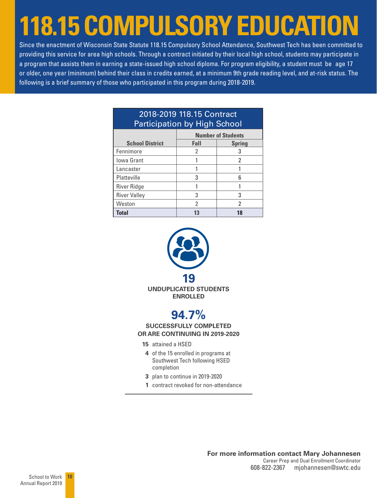## **118.15 COMPULSORY EDUCATION**

Since the enactment of Wisconsin State Statute 118.15 Compulsory School Attendance, Southwest Tech has been committed to providing this service for area high schools. Through a contract initiated by their local high school, students may participate in a program that assists them in earning a state-issued high school diploma. For program eligibility, a student must be age 17 or older, one year (minimum) behind their class in credits earned, at a minimum 9th grade reading level, and at-risk status. The following is a brief summary of those who participated in this program during 2018-2019.

| <b>Participation by High School</b> |                       |                           |  |  |  |
|-------------------------------------|-----------------------|---------------------------|--|--|--|
|                                     |                       | <b>Number of Students</b> |  |  |  |
| <b>School District</b>              | Fall<br><b>Spring</b> |                           |  |  |  |
| Fennimore                           | 2                     | 3                         |  |  |  |
| <b>Iowa Grant</b>                   |                       | 2                         |  |  |  |
| Lancaster                           |                       |                           |  |  |  |
| Platteville                         | 3                     | հ                         |  |  |  |
| River Ridge                         |                       |                           |  |  |  |
| <b>River Valley</b>                 | 3                     | 3                         |  |  |  |
| Weston                              | 2                     | 2                         |  |  |  |
| <b>Total</b>                        | 13                    | 18                        |  |  |  |

### 2018-2019 118.15 Contract



- **3** plan to continue in 2019-2020
- **1** contract revoked for non-attendance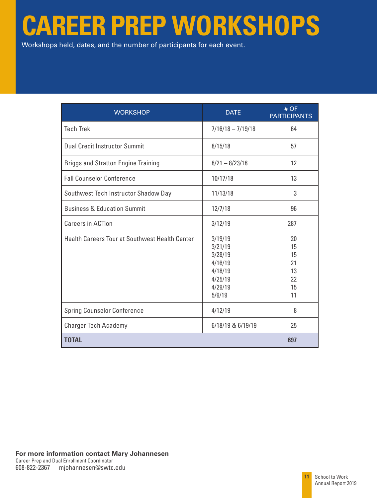## **CAREER PREP WORKSHOPS**

Workshops held, dates, and the number of participants for each event.

| <b>WORKSHOP</b>                                       | <b>DATE</b>                                                                         | # OF<br><b>PARTICIPANTS</b>                  |
|-------------------------------------------------------|-------------------------------------------------------------------------------------|----------------------------------------------|
| <b>Tech Trek</b>                                      | $7/16/18 - 7/19/18$                                                                 | 64                                           |
| <b>Dual Credit Instructor Summit</b>                  | 8/15/18                                                                             | 57                                           |
| <b>Briggs and Stratton Engine Training</b>            | $8/21 - 8/23/18$                                                                    | 12                                           |
| <b>Fall Counselor Conference</b>                      | 10/17/18                                                                            | 13                                           |
| Southwest Tech Instructor Shadow Day                  | 11/13/18                                                                            | 3                                            |
| <b>Business &amp; Education Summit</b>                | 12/7/18                                                                             | 96                                           |
| <b>Careers in ACTion</b>                              | 3/12/19                                                                             | 287                                          |
| <b>Health Careers Tour at Southwest Health Center</b> | 3/19/19<br>3/21/19<br>3/28/19<br>4/16/19<br>4/18/19<br>4/25/19<br>4/29/19<br>5/9/19 | 20<br>15<br>15<br>21<br>13<br>22<br>15<br>11 |
| <b>Spring Counselor Conference</b>                    | 4/12/19                                                                             | 8                                            |
| <b>Charger Tech Academy</b>                           | 6/18/19 & 6/19/19                                                                   | 25                                           |
| <b>TOTAL</b>                                          |                                                                                     | 697                                          |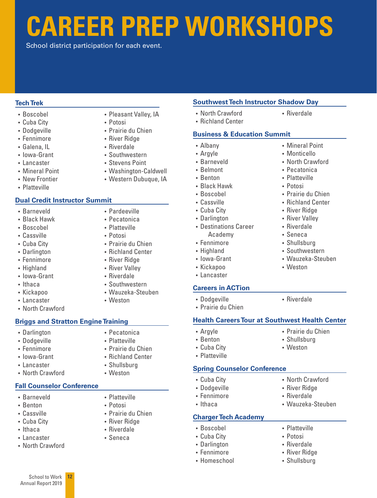## **CAREER PREP WORKSHOPS**

School district participation for each event.

#### **Tech Trek**

- Boscobel
- Cuba City
- Dodgeville
- Fennimore
- Galena, IL
- Iowa-Grant
- Lancaster
- Mineral Point
- New Frontier
- Platteville

#### **Dual Credit Instructor Summit**

- Barneveld
- Black Hawk
- Boscobel
- Cassville
- Cuba City
- Darlington
- Fennimore
- Highland
- Iowa-Grant
- Ithaca
- Kickapoo
- Lancaster
- North Crawford

#### **Briggs and Stratton Engine Training**

- Darlington
- Dodgeville
- Fennimore
- Iowa-Grant
- Lancaster
- North Crawford

#### **Fall Counselor Conference**

- Barneveld
- Benton
- Cassville
- Cuba City
- Ithaca
- Lancaster
- North Crawford

School to Work Annual Report 2019

**12**

- Pleasant Valley, IA
- Potosi
- Prairie du Chien
- River Ridge
- Riverdale
- Southwestern
- Stevens Point
- Washington-Caldwell
- Western Dubuque, IA
	-
	-
- Pardeeville
- Pecatonica
- Platteville
- Potosi
- Prairie du Chien
- Richland Center
- River Ridge
- River Valley
- 
- Wauzeka-Steuben
- Weston
- 
- Riverdale
- Southwestern
- 
- 

- Pecatonica
- Platteville
- Prairie du Chien
- Richland Center
- Shullsburg
- Weston

- 
- 

• Prairie du Chien • River Ridge • Riverdale • Seneca

- 
- 

• Platteville • Potosi

#### • Prairie du Chien **Health Careers Tour at Southwest Health Center**

- Argyle
- Benton

• Dodgeville

- Cuba City
- Platteville

#### **Spring Counselor Conference**

- Cuba City
- Dodgeville
- Fennimore
- Ithaca

#### **Charger Tech Academy**

- Boscobel
- Cuba City
- Darlington
- Fennimore
- Homeschool

• Riverdale

• Mineral Point • Monticello • North Crawford • Pecatonica • Platteville • Potosi

• Prairie du Chien • Richland Center • River Ridge • River Valley • Riverdale • Seneca • Shullsburg • Southwestern • Wauzeka-Steuben

• Weston

• Riverdale

• Prairie du Chien • Shullsburg • Weston

• North Crawford • River Ridge • Riverdale

• Wauzeka-Steuben

• Platteville • Potosi • Riverdale • River Ridge • Shullsburg

• North Crawford • Richland Center

• Destinations Career Academy • Fennimore • Highland • Iowa-Grant • Kickapoo • Lancaster

**Careers in ACTion**

• Albany • Argyle • Barneveld • Belmont • Benton • Black Hawk • Boscobel • Cassville • Cuba City • Darlington

**Southwest Tech Instructor Shadow Day**

**Business & Education Summit**